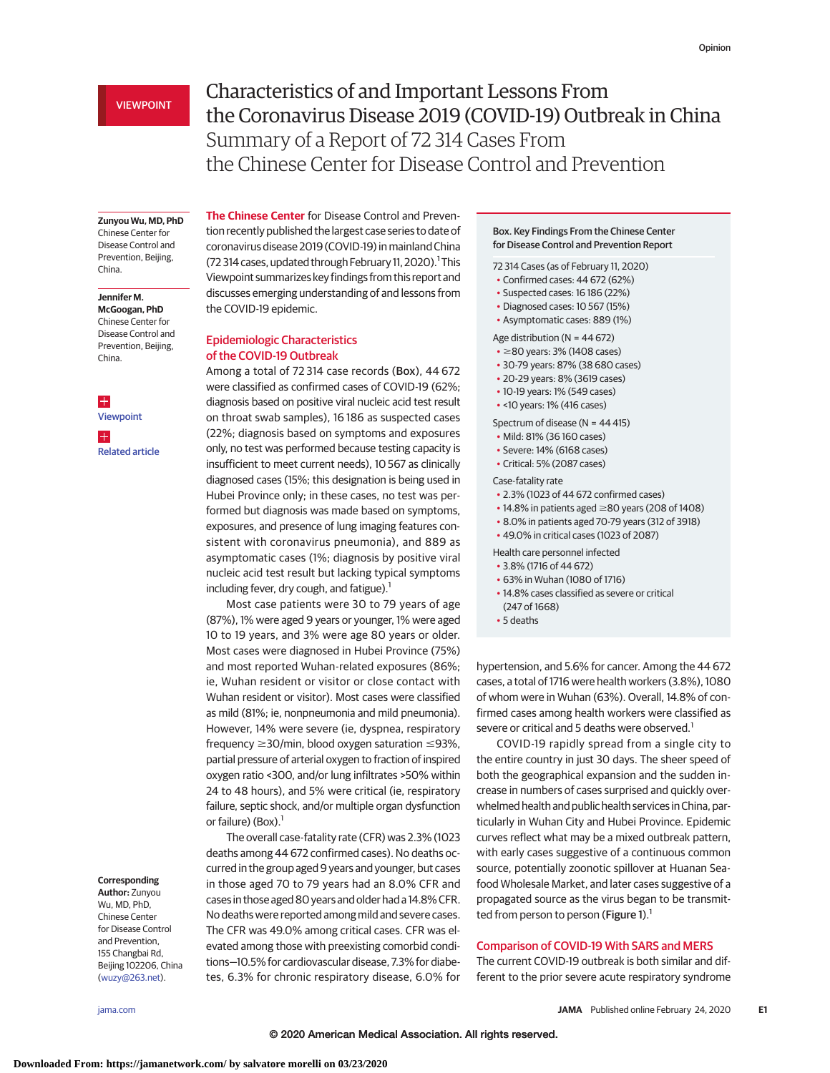# VIEWPOINT

# Characteristics of and Important Lessons From the Coronavirus Disease 2019 (COVID-19) Outbreak in China Summary of a Report of 72 314 Cases From the Chinese Center for Disease Control and Prevention

#### **Zunyou Wu, MD, PhD**

Chinese Center for Disease Control and Prevention, Beijing, China.

# **Jennifer M.**

**McGoogan, PhD** Chinese Center for Disease Control and Prevention, Beijing, China.

 $\pm$ [Viewpoint](https://jamanetwork.com/journals/jama/fullarticle/10.1001/jama.2020.2342?utm_campaign=articlePDF%26utm_medium=articlePDFlink%26utm_source=articlePDF%26utm_content=jama.2020.2648) H [Related article](https://jamanetwork.com/journals/jama/fullarticle/10.1001/jama.2020.2131?utm_campaign=articlePDF%26utm_medium=articlePDFlink%26utm_source=articlePDF%26utm_content=jama.2020.2648)

### **Corresponding**

**Author:** Zunyou Wu, MD, PhD, Chinese Center for Disease Control and Prevention, 155 Changbai Rd, Beijing 102206, China [\(wuzy@263.net\)](mailto:wuzy@263.net).

**The Chinese Center** for Disease Control and Prevention recently published the largest case series to date of coronavirus disease 2019 (COVID-19) in mainland China (72 314 cases, updated through February 11, 2020).<sup>1</sup> This Viewpoint summarizes key findings from this report and discusses emerging understanding of and lessons from the COVID-19 epidemic.

# Epidemiologic Characteristics of the COVID-19 Outbreak

Among a total of 72 314 case records (Box), 44 672 were classified as confirmed cases of COVID-19 (62%; diagnosis based on positive viral nucleic acid test result on throat swab samples), 16 186 as suspected cases (22%; diagnosis based on symptoms and exposures only, no test was performed because testing capacity is insufficient to meet current needs), 10 567 as clinically diagnosed cases (15%; this designation is being used in Hubei Province only; in these cases, no test was performed but diagnosis was made based on symptoms, exposures, and presence of lung imaging features consistent with coronavirus pneumonia), and 889 as asymptomatic cases (1%; diagnosis by positive viral nucleic acid test result but lacking typical symptoms including fever, dry cough, and fatigue). $1$ 

Most case patients were 30 to 79 years of age (87%), 1% were aged 9 years or younger, 1% were aged 10 to 19 years, and 3% were age 80 years or older. Most cases were diagnosed in Hubei Province (75%) and most reported Wuhan-related exposures (86%; ie, Wuhan resident or visitor or close contact with Wuhan resident or visitor). Most cases were classified as mild (81%; ie, nonpneumonia and mild pneumonia). However, 14% were severe (ie, dyspnea, respiratory  $frequency \geq 30/min$ , blood oxygen saturation  $\leq 93\%$ , partial pressure of arterial oxygen to fraction of inspired oxygen ratio <300, and/or lung infiltrates >50% within 24 to 48 hours), and 5% were critical (ie, respiratory failure, septic shock, and/or multiple organ dysfunction or failure) (Box). $<sup>1</sup>$ </sup>

The overall case-fatality rate (CFR) was 2.3% (1023 deaths among 44 672 confirmed cases). No deaths occurred in the group aged 9 years and younger, but cases in those aged 70 to 79 years had an 8.0% CFR and cases in those aged 80 years and older had a 14.8% CFR. No deaths were reported among mild and severe cases. The CFR was 49.0% among critical cases. CFR was elevated among those with preexisting comorbid conditions—10.5% for cardiovascular disease, 7.3% for diabetes, 6.3% for chronic respiratory disease, 6.0% for

## Box. Key Findings From the Chinese Center for Disease Control and Prevention Report

72 314 Cases (as of February 11, 2020)

- Confirmed cases: 44 672 (62%)
- Suspected cases: 16 186 (22%)
- Diagnosed cases: 10 567 (15%)
- Asymptomatic cases: 889 (1%)

Age distribution ( $N = 44672$ )

- $\cdot$   $\geq$ 80 years: 3% (1408 cases)
- 30-79 years: 87% (38 680 cases)
- 20-29 years: 8% (3619 cases)
- 10-19 years: 1% (549 cases)
- <10 years: 1% (416 cases)

Spectrum of disease (N = 44 415)

- Mild: 81% (36 160 cases)
- Severe: 14% (6168 cases)
- Critical: 5% (2087 cases)

Case-fatality rate

- 2.3% (1023 of 44 672 confirmed cases)
- $\cdot$  14.8% in patients aged  $\geq$ 80 years (208 of 1408)
- 8.0% in patients aged 70-79 years (312 of 3918)
- 49.0% in critical cases (1023 of 2087)

Health care personnel infected

- 3.8% (1716 of 44 672)
- 63% in Wuhan (1080 of 1716)
- 14.8% cases classified as severe or critical
- (247 of 1668)
- 5 deaths

hypertension, and 5.6% for cancer. Among the 44 672 cases, a total of 1716 were health workers (3.8%), 1080 of whom were in Wuhan (63%). Overall, 14.8% of confirmed cases among health workers were classified as severe or critical and 5 deaths were observed.<sup>1</sup>

COVID-19 rapidly spread from a single city to the entire country in just 30 days. The sheer speed of both the geographical expansion and the sudden increase in numbers of cases surprised and quickly overwhelmed health and public health services in China, particularly in Wuhan City and Hubei Province. Epidemic curves reflect what may be a mixed outbreak pattern, with early cases suggestive of a continuous common source, potentially zoonotic spillover at Huanan Seafood Wholesale Market, and later cases suggestive of a propagated source as the virus began to be transmitted from person to person (Figure 1).<sup>1</sup>

# Comparison of COVID-19 With SARS and MERS

The current COVID-19 outbreak is both similar and different to the prior severe acute respiratory syndrome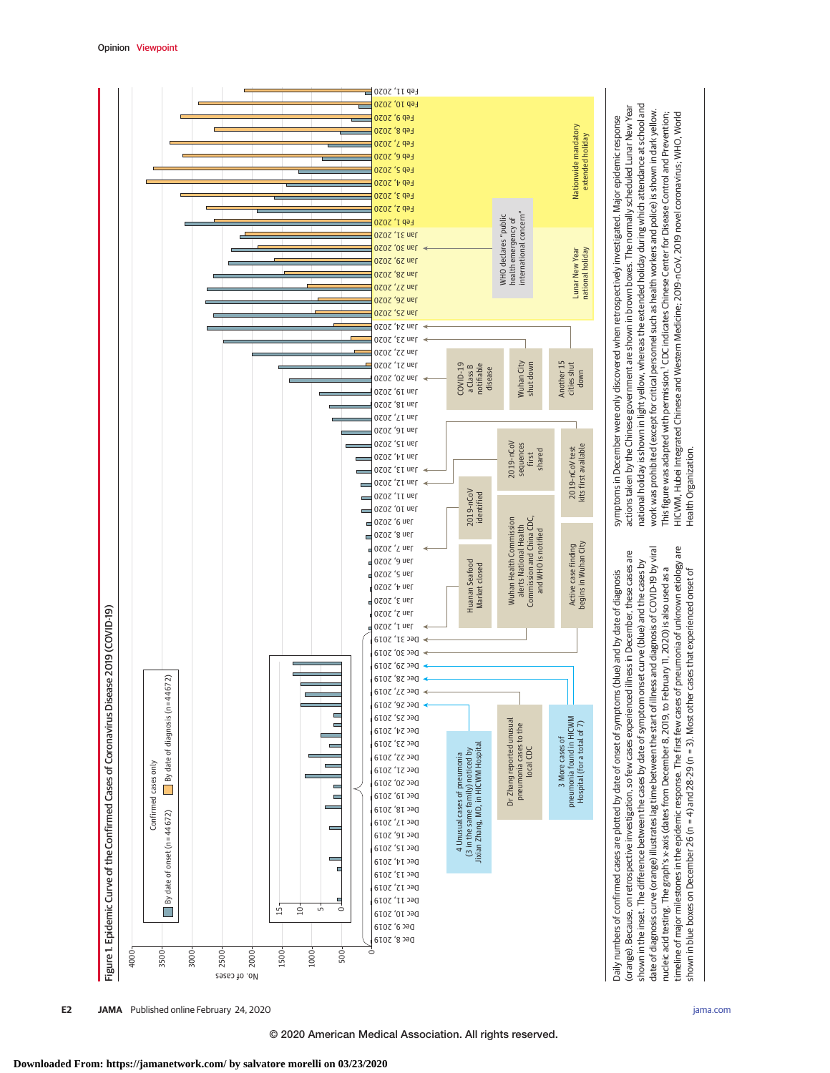

**E2 JAMA** Published online February 24, 2020 **(Reprinted)** [jama.com](http://www.jama.com/?utm_campaign=articlePDF%26utm_medium=articlePDFlink%26utm_source=articlePDF%26utm_content=jama.2020.2648)

shown in blue boxes on December 26 (n = 4) and 28-29 (n = 3). Most other cases that experienced onset of

shown in blue boxes on December 26 (n = 4) and 28-29 (n = 3). Most other cases that experienced onset of

Health Organization.

Health Organization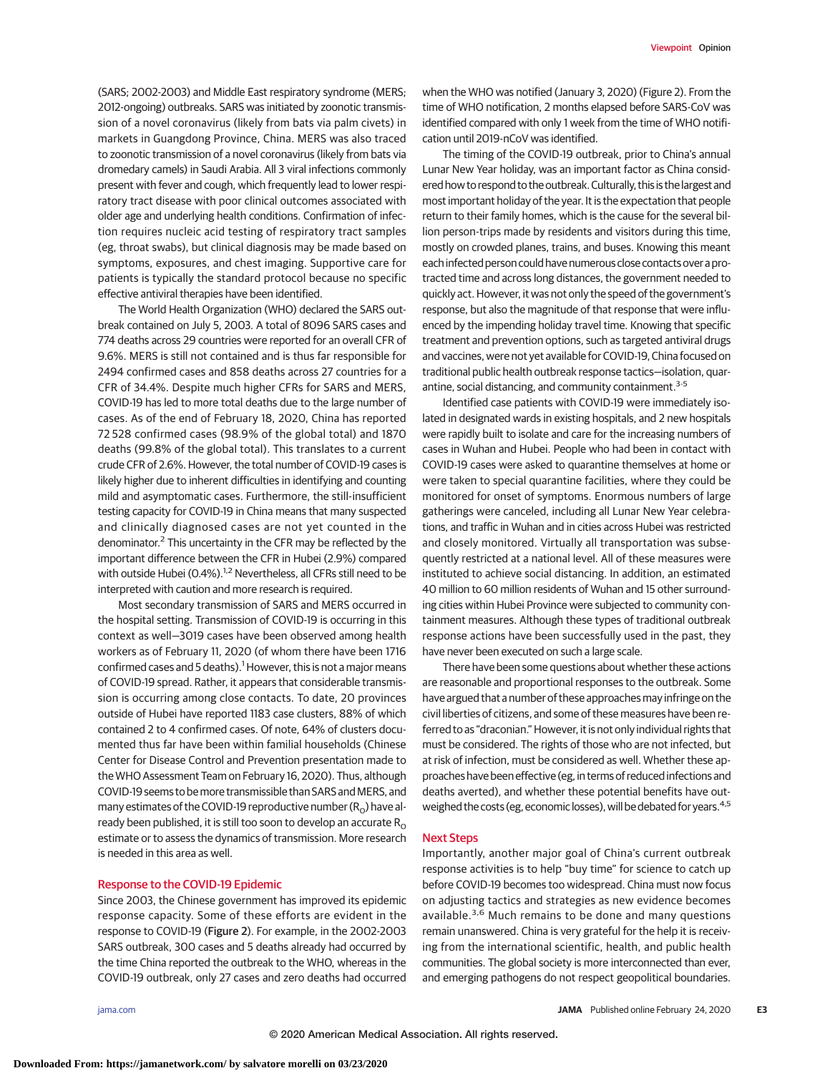(SARS; 2002-2003) and Middle East respiratory syndrome (MERS; 2012-ongoing) outbreaks. SARS was initiated by zoonotic transmission of a novel coronavirus (likely from bats via palm civets) in markets in Guangdong Province, China. MERS was also traced to zoonotic transmission of a novel coronavirus (likely from bats via dromedary camels) in Saudi Arabia. All 3 viral infections commonly present with fever and cough, which frequently lead to lower respiratory tract disease with poor clinical outcomes associated with older age and underlying health conditions. Confirmation of infection requires nucleic acid testing of respiratory tract samples (eg, throat swabs), but clinical diagnosis may be made based on symptoms, exposures, and chest imaging. Supportive care for patients is typically the standard protocol because no specific effective antiviral therapies have been identified.

The World Health Organization (WHO) declared the SARS outbreak contained on July 5, 2003. A total of 8096 SARS cases and 774 deaths across 29 countries were reported for an overall CFR of 9.6%. MERS is still not contained and is thus far responsible for 2494 confirmed cases and 858 deaths across 27 countries for a CFR of 34.4%. Despite much higher CFRs for SARS and MERS, COVID-19 has led to more total deaths due to the large number of cases. As of the end of February 18, 2020, China has reported 72 528 confirmed cases (98.9% of the global total) and 1870 deaths (99.8% of the global total). This translates to a current crude CFR of 2.6%. However, the total number of COVID-19 cases is likely higher due to inherent difficulties in identifying and counting mild and asymptomatic cases. Furthermore, the still-insufficient testing capacity for COVID-19 in China means that many suspected and clinically diagnosed cases are not yet counted in the denominator.2 This uncertainty in the CFR may be reflected by the important difference between the CFR in Hubei (2.9%) compared with outside Hubei (0.4%).<sup>1,2</sup> Nevertheless, all CFRs still need to be interpreted with caution and more research is required.

Most secondary transmission of SARS and MERS occurred in the hospital setting. Transmission of COVID-19 is occurring in this context as well—3019 cases have been observed among health workers as of February 11, 2020 (of whom there have been 1716 confirmed cases and 5 deaths).<sup>1</sup> However, this is not a major means of COVID-19 spread. Rather, it appears that considerable transmission is occurring among close contacts. To date, 20 provinces outside of Hubei have reported 1183 case clusters, 88% of which contained 2 to 4 confirmed cases. Of note, 64% of clusters documented thus far have been within familial households (Chinese Center for Disease Control and Prevention presentation made to the WHO Assessment Team on February 16, 2020). Thus, although COVID-19 seems to be more transmissible than SARS and MERS, and many estimates of the COVID-19 reproductive number  $(R_0)$  have already been published, it is still too soon to develop an accurate  $R_0$ estimate or to assess the dynamics of transmission. More research is needed in this area as well.

# Response to the COVID-19 Epidemic

Since 2003, the Chinese government has improved its epidemic response capacity. Some of these efforts are evident in the response to COVID-19 (Figure 2). For example, in the 2002-2003 SARS outbreak, 300 cases and 5 deaths already had occurred by the time China reported the outbreak to the WHO, whereas in the COVID-19 outbreak, only 27 cases and zero deaths had occurred

when the WHO was notified (January 3, 2020) (Figure 2). From the time of WHO notification, 2 months elapsed before SARS-CoV was identified compared with only 1 week from the time of WHO notification until 2019-nCoV was identified.

The timing of the COVID-19 outbreak, prior to China's annual Lunar New Year holiday, was an important factor as China considered how to respond to the outbreak. Culturally, this is the largest and most important holiday of the year. It is the expectation that people return to their family homes, which is the cause for the several billion person-trips made by residents and visitors during this time, mostly on crowded planes, trains, and buses. Knowing this meant each infected person could have numerous close contacts over a protracted time and across long distances, the government needed to quickly act. However, it was not only the speed of the government's response, but also the magnitude of that response that were influenced by the impending holiday travel time. Knowing that specific treatment and prevention options, such as targeted antiviral drugs and vaccines, were not yet available for COVID-19, China focused on traditional public health outbreak response tactics—isolation, quarantine, social distancing, and community containment.<sup>3-5</sup>

Identified case patients with COVID-19 were immediately isolated in designated wards in existing hospitals, and 2 new hospitals were rapidly built to isolate and care for the increasing numbers of cases in Wuhan and Hubei. People who had been in contact with COVID-19 cases were asked to quarantine themselves at home or were taken to special quarantine facilities, where they could be monitored for onset of symptoms. Enormous numbers of large gatherings were canceled, including all Lunar New Year celebrations, and traffic in Wuhan and in cities across Hubei was restricted and closely monitored. Virtually all transportation was subsequently restricted at a national level. All of these measures were instituted to achieve social distancing. In addition, an estimated 40 million to 60 million residents of Wuhan and 15 other surrounding cities within Hubei Province were subjected to community containment measures. Although these types of traditional outbreak response actions have been successfully used in the past, they have never been executed on such a large scale.

There have been some questions about whether these actions are reasonable and proportional responses to the outbreak. Some have argued that a number of these approaches may infringe on the civil liberties of citizens, and some of these measures have been referred to as "draconian." However, it is not only individual rights that must be considered. The rights of those who are not infected, but at risk of infection, must be considered as well. Whether these approaches have been effective (eg, in terms of reduced infections and deaths averted), and whether these potential benefits have outweighed the costs (eg, economic losses), will be debated for years.<sup>4,5</sup>

#### Next Steps

Importantly, another major goal of China's current outbreak response activities is to help "buy time" for science to catch up before COVID-19 becomes too widespread. China must now focus on adjusting tactics and strategies as new evidence becomes available.<sup>3,6</sup> Much remains to be done and many questions remain unanswered. China is very grateful for the help it is receiving from the international scientific, health, and public health communities. The global society is more interconnected than ever, and emerging pathogens do not respect geopolitical boundaries.